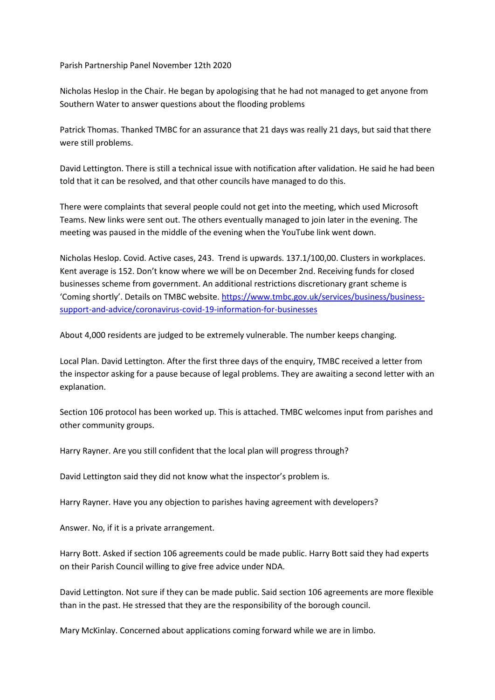Parish Partnership Panel November 12th 2020

Nicholas Heslop in the Chair. He began by apologising that he had not managed to get anyone from Southern Water to answer questions about the flooding problems

Patrick Thomas. Thanked TMBC for an assurance that 21 days was really 21 days, but said that there were still problems.

David Lettington. There is still a technical issue with notification after validation. He said he had been told that it can be resolved, and that other councils have managed to do this.

There were complaints that several people could not get into the meeting, which used Microsoft Teams. New links were sent out. The others eventually managed to join later in the evening. The meeting was paused in the middle of the evening when the YouTube link went down.

Nicholas Heslop. Covid. Active cases, 243. Trend is upwards. 137.1/100,00. Clusters in workplaces. Kent average is 152. Don't know where we will be on December 2nd. Receiving funds for closed businesses scheme from government. An additional restrictions discretionary grant scheme is 'Coming shortly'. Details on TMBC website[. https://www.tmbc.gov.uk/services/business/business](https://www.tmbc.gov.uk/services/business/business-support-and-advice/coronavirus-covid-19-information-for-businesses)[support-and-advice/coronavirus-covid-19-information-for-businesses](https://www.tmbc.gov.uk/services/business/business-support-and-advice/coronavirus-covid-19-information-for-businesses)

About 4,000 residents are judged to be extremely vulnerable. The number keeps changing.

Local Plan. David Lettington. After the first three days of the enquiry, TMBC received a letter from the inspector asking for a pause because of legal problems. They are awaiting a second letter with an explanation.

Section 106 protocol has been worked up. This is attached. TMBC welcomes input from parishes and other community groups.

Harry Rayner. Are you still confident that the local plan will progress through?

David Lettington said they did not know what the inspector's problem is.

Harry Rayner. Have you any objection to parishes having agreement with developers?

Answer. No, if it is a private arrangement.

Harry Bott. Asked if section 106 agreements could be made public. Harry Bott said they had experts on their Parish Council willing to give free advice under NDA.

David Lettington. Not sure if they can be made public. Said section 106 agreements are more flexible than in the past. He stressed that they are the responsibility of the borough council.

Mary McKinlay. Concerned about applications coming forward while we are in limbo.